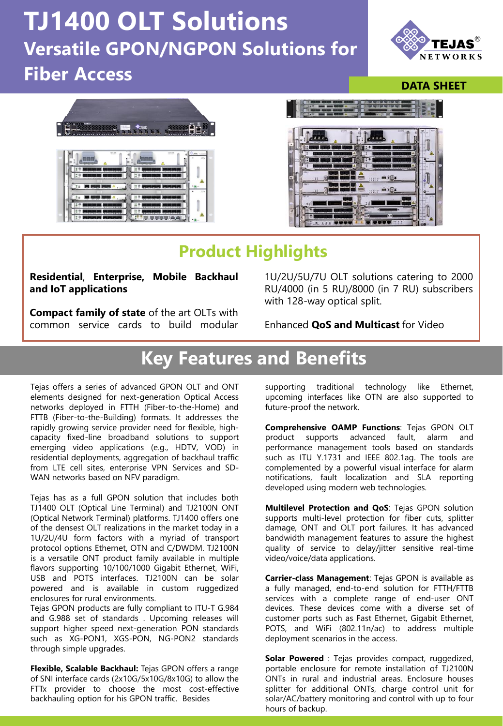## $T = \frac{1}{2}$ **Versatile GPON/NGPON Solutions for TJ1400 OLT Solutions**

### **Fiber Access**

**DATA SHEET**

**NETWORKS** 





## **Product Highlights**

**Residential**, **Enterprise, Mobile Backhaul and IoT applications**

**Compact family of state** of the art OLTs with common service cards to build modular

1U/2U/5U/7U OLT solutions catering to 2000 RU/4000 (in 5 RU)/8000 (in 7 RU) subscribers with 128-way optical split.

Enhanced **QoS and Multicast** for Video

## **Key Features and Benefits**

Tejas offers a series of advanced GPON OLT and ONT elements designed for next-generation Optical Access networks deployed in FTTH (Fiber-to-the-Home) and FTTB (Fiber-to-the-Building) formats. It addresses the rapidly growing service provider need for flexible, highcapacity fixed-line broadband solutions to support emerging video applications (e.g., HDTV, VOD) in residential deployments, aggregation of backhaul traffic from LTE cell sites, enterprise VPN Services and SD-WAN networks based on NFV paradigm.

Tejas has as a full GPON solution that includes both TJ1400 OLT (Optical Line Terminal) and TJ2100N ONT (Optical Network Terminal) platforms. TJ1400 offers one of the densest OLT realizations in the market today in a 1U/2U/4U form factors with a myriad of transport protocol options Ethernet, OTN and C/DWDM. TJ2100N is a versatile ONT product family available in multiple flavors supporting 10/100/1000 Gigabit Ethernet, WiFi, USB and POTS interfaces. TJ2100N can be solar powered and is available in custom ruggedized enclosures for rural environments.

Tejas GPON products are fully compliant to ITU-T G.984 and G.988 set of standards . Upcoming releases will support higher speed next-generation PON standards such as XG-PON1, XGS-PON, NG-PON2 standards through simple upgrades.

**Flexible, Scalable Backhaul:** Tejas GPON offers a range of SNI interface cards (2x10G/5x10G/8x10G) to allow the FTTx provider to choose the most cost-effective backhauling option for his GPON traffic. Besides

supporting traditional technology like Ethernet, upcoming interfaces like OTN are also supported to future-proof the network.

**Comprehensive OAMP Functions**: Tejas GPON OLT product supports advanced fault, alarm and performance management tools based on standards such as ITU Y.1731 and IEEE 802.1ag. The tools are complemented by a powerful visual interface for alarm notifications, fault localization and SLA reporting developed using modern web technologies.

**Multilevel Protection and QoS**: Tejas GPON solution supports multi-level protection for fiber cuts, splitter damage, ONT and OLT port failures. It has advanced bandwidth management features to assure the highest quality of service to delay/jitter sensitive real-time video/voice/data applications.

**Carrier-class Management**: Tejas GPON is available as a fully managed, end-to-end solution for FTTH/FTTB services with a complete range of end-user ONT devices. These devices come with a diverse set of customer ports such as Fast Ethernet, Gigabit Ethernet, POTS, and WiFi (802.11n/ac) to address multiple deployment scenarios in the access.

**Solar Powered** : Tejas provides compact, ruggedized, portable enclosure for remote installation of TJ2100N ONTs in rural and industrial areas. Enclosure houses splitter for additional ONTs, charge control unit for solar/AC/battery monitoring and control with up to four hours of backup.